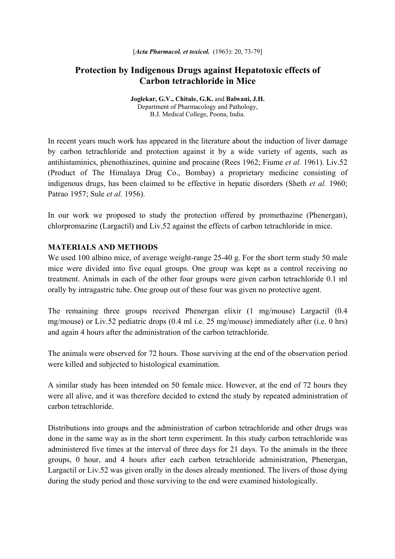# **Protection by Indigenous Drugs against Hepatotoxic effects of Carbon tetrachloride in Mice**

**Joglekar, G.V., Chitale, G.K.** and **Balwani, J.H.**  Department of Pharmacology and Pathology, B.J. Medical College, Poona, India.

In recent years much work has appeared in the literature about the induction of liver damage by carbon tetrachloride and protection against it by a wide variety of agents, such as antihistaminics, phenothiazines, quinine and procaine (Rees 1962; Fiume *et al.* 1961). Liv.52 (Product of The Himalaya Drug Co., Bombay) a proprietary medicine consisting of indigenous drugs, has been claimed to be effective in hepatic disorders (Sheth *et al.* 1960; Patrao 1957; Sule *et al.* 1956).

In our work we proposed to study the protection offered by promethazine (Phenergan), chlorpromazine (Largactil) and Liv.52 against the effects of carbon tetrachloride in mice.

#### **MATERIALS AND METHODS**

We used 100 albino mice, of average weight-range 25-40 g. For the short term study 50 male mice were divided into five equal groups. One group was kept as a control receiving no treatment. Animals in each of the other four groups were given carbon tetrachloride 0.1 ml orally by intragastric tube. One group out of these four was given no protective agent.

The remaining three groups received Phenergan elixir (1 mg/mouse) Largactil (0.4 mg/mouse) or Liv.52 pediatric drops (0.4 ml i.e. 25 mg/mouse) immediately after (i.e. 0 hrs) and again 4 hours after the administration of the carbon tetrachloride.

The animals were observed for 72 hours. Those surviving at the end of the observation period were killed and subjected to histological examination.

A similar study has been intended on 50 female mice. However, at the end of 72 hours they were all alive, and it was therefore decided to extend the study by repeated administration of carbon tetrachloride.

Distributions into groups and the administration of carbon tetrachloride and other drugs was done in the same way as in the short term experiment. In this study carbon tetrachloride was administered five times at the interval of three days for 21 days. To the animals in the three groups, 0 hour, and 4 hours after each carbon tetrachloride administration, Phenergan, Largactil or Liv.52 was given orally in the doses already mentioned. The livers of those dying during the study period and those surviving to the end were examined histologically.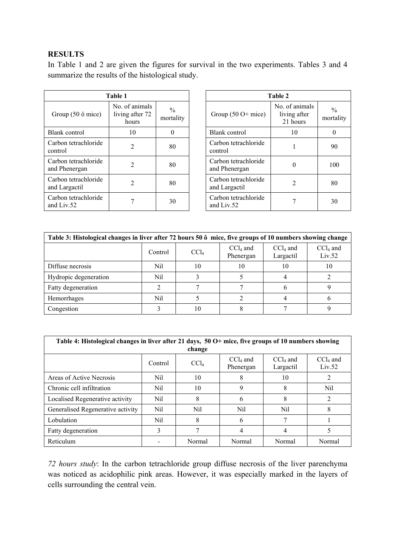## **RESULTS**

In Table 1 and 2 are given the figures for survival in the two experiments. Tables 3 and 4 summarize the results of the histological study.

| Table 1                               |                                           |                            |  |  |  |
|---------------------------------------|-------------------------------------------|----------------------------|--|--|--|
| Group $(50 \delta$ mice)              | No of animals<br>living after 72<br>hours | $\frac{0}{0}$<br>mortality |  |  |  |
| Blank control                         | 10                                        |                            |  |  |  |
| Carbon tetrachloride<br>control       | 2                                         | 80                         |  |  |  |
| Carbon tetrachloride<br>and Phenergan | 2                                         | 80                         |  |  |  |
| Carbon tetrachloride<br>and Largactil | 2                                         | 80                         |  |  |  |
| Carbon tetrachloride<br>and Liv. $52$ |                                           | 30                         |  |  |  |

| Table 2                               |                                            |                            |  |  |  |
|---------------------------------------|--------------------------------------------|----------------------------|--|--|--|
| Group $(50 O+$ mice)                  | No. of animals<br>living after<br>21 hours | $\frac{0}{0}$<br>mortality |  |  |  |
| Blank control                         | 10                                         |                            |  |  |  |
| Carbon tetrachloride<br>control       |                                            | 90                         |  |  |  |
| Carbon tetrachloride<br>and Phenergan |                                            | 100                        |  |  |  |
| Carbon tetrachloride<br>and Largactil |                                            | 80                         |  |  |  |
| Carbon tetrachloride<br>and Liv. $52$ |                                            | 30                         |  |  |  |

| Table 3: Histological changes in liver after 72 hours 50 $\hat{\text{o}}$ mice, five groups of 10 numbers showing change |         |                  |                         |                         |                      |  |
|--------------------------------------------------------------------------------------------------------------------------|---------|------------------|-------------------------|-------------------------|----------------------|--|
|                                                                                                                          | Control | CCl <sub>4</sub> | $CCl4$ and<br>Phenergan | $CCl4$ and<br>Largactil | $CCl4$ and<br>Liv.52 |  |
| Diffuse necrosis                                                                                                         | Nil     | 10               | 10                      | 10                      | 10                   |  |
| Hydropic degeneration                                                                                                    | Nil     |                  |                         |                         |                      |  |
| Fatty degeneration                                                                                                       |         |                  |                         |                         |                      |  |
| Hemorrhages                                                                                                              | Nil     |                  |                         |                         |                      |  |
| Congestion                                                                                                               |         |                  |                         |                         |                      |  |

| Table 4: Histological changes in liver after 21 days, 50 O+ mice, five groups of 10 numbers showing<br>change |         |                  |                         |                         |                      |  |
|---------------------------------------------------------------------------------------------------------------|---------|------------------|-------------------------|-------------------------|----------------------|--|
|                                                                                                               | Control | CCl <sub>4</sub> | $CCl4$ and<br>Phenergan | $CCl4$ and<br>Largactil | $CCl4$ and<br>Liv.52 |  |
| Areas of Active Necrosis                                                                                      | Nil     | 10               | 8                       | 10                      |                      |  |
| Chronic cell infiltration                                                                                     | Nil     | 10               | 9                       | 8                       | Nil                  |  |
| Localised Regenerative activity                                                                               | Nil     | 8                | 6                       | 8                       | 2                    |  |
| Generalised Regenerative activity                                                                             | Nil     | Nil              | Nil                     | Nil                     | 8                    |  |
| Lobulation                                                                                                    | Nil     | 8                | 6                       | 7                       |                      |  |
| Fatty degeneration                                                                                            | 3       |                  | 4                       | 4                       | 5                    |  |
| Reticulum                                                                                                     |         | Normal           | Normal                  | Normal                  | Normal               |  |

*72 hours study*: In the carbon tetrachloride group diffuse necrosis of the liver parenchyma was noticed as acidophilic pink areas. However, it was especially marked in the layers of cells surrounding the central vein.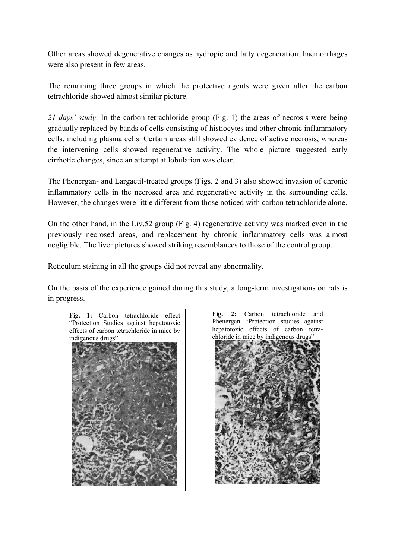Other areas showed degenerative changes as hydropic and fatty degeneration. haemorrhages were also present in few areas.

The remaining three groups in which the protective agents were given after the carbon tetrachloride showed almost similar picture.

*21 days' study*: In the carbon tetrachloride group (Fig. 1) the areas of necrosis were being gradually replaced by bands of cells consisting of histiocytes and other chronic inflammatory cells, including plasma cells. Certain areas still showed evidence of active necrosis, whereas the intervening cells showed regenerative activity. The whole picture suggested early cirrhotic changes, since an attempt at lobulation was clear.

The Phenergan- and Largactil-treated groups (Figs. 2 and 3) also showed invasion of chronic inflammatory cells in the necrosed area and regenerative activity in the surrounding cells. However, the changes were little different from those noticed with carbon tetrachloride alone.

On the other hand, in the Liv.52 group (Fig. 4) regenerative activity was marked even in the previously necrosed areas, and replacement by chronic inflammatory cells was almost negligible. The liver pictures showed striking resemblances to those of the control group.

Reticulum staining in all the groups did not reveal any abnormality.

On the basis of the experience gained during this study, a long-term investigations on rats is in progress.



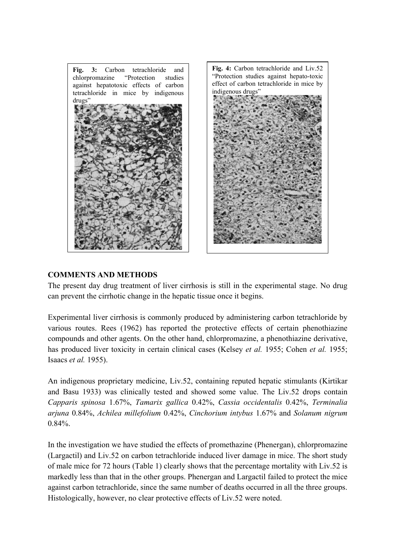

## **COMMENTS AND METHODS**

The present day drug treatment of liver cirrhosis is still in the experimental stage. No drug can prevent the cirrhotic change in the hepatic tissue once it begins.

Experimental liver cirrhosis is commonly produced by administering carbon tetrachloride by various routes. Rees (1962) has reported the protective effects of certain phenothiazine compounds and other agents. On the other hand, chlorpromazine, a phenothiazine derivative, has produced liver toxicity in certain clinical cases (Kelsey *et al.* 1955; Cohen *et al.* 1955; Isaacs *et al.* 1955).

An indigenous proprietary medicine, Liv.52, containing reputed hepatic stimulants (Kirtikar and Basu 1933) was clinically tested and showed some value. The Liv.52 drops contain *Capparis spinosa* 1.67%, *Tamarix gallica* 0.42%, *Cassia occidentalis* 0.42%, *Terminalia arjuna* 0.84%, *Achilea millefolium* 0.42%, *Cinchorium intybus* 1.67% and *Solanum nigrum*  0.84%.

In the investigation we have studied the effects of promethazine (Phenergan), chlorpromazine (Largactil) and Liv.52 on carbon tetrachloride induced liver damage in mice. The short study of male mice for 72 hours (Table 1) clearly shows that the percentage mortality with Liv.52 is markedly less than that in the other groups. Phenergan and Largactil failed to protect the mice against carbon tetrachloride, since the same number of deaths occurred in all the three groups. Histologically, however, no clear protective effects of Liv.52 were noted.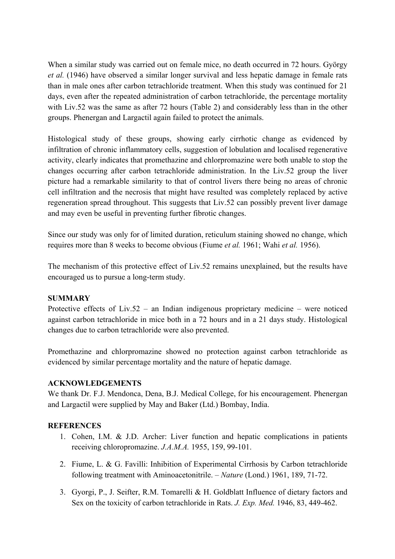When a similar study was carried out on female mice, no death occurred in 72 hours. György *et al.* (1946) have observed a similar longer survival and less hepatic damage in female rats than in male ones after carbon tetrachloride treatment. When this study was continued for 21 days, even after the repeated administration of carbon tetrachloride, the percentage mortality with Liv.52 was the same as after 72 hours (Table 2) and considerably less than in the other groups. Phenergan and Largactil again failed to protect the animals.

Histological study of these groups, showing early cirrhotic change as evidenced by infiltration of chronic inflammatory cells, suggestion of lobulation and localised regenerative activity, clearly indicates that promethazine and chlorpromazine were both unable to stop the changes occurring after carbon tetrachloride administration. In the Liv.52 group the liver picture had a remarkable similarity to that of control livers there being no areas of chronic cell infiltration and the necrosis that might have resulted was completely replaced by active regeneration spread throughout. This suggests that Liv.52 can possibly prevent liver damage and may even be useful in preventing further fibrotic changes.

Since our study was only for of limited duration, reticulum staining showed no change, which requires more than 8 weeks to become obvious (Fiume *et al.* 1961; Wahi *et al.* 1956).

The mechanism of this protective effect of Liv.52 remains unexplained, but the results have encouraged us to pursue a long-term study.

## **SUMMARY**

Protective effects of Liv.52 – an Indian indigenous proprietary medicine – were noticed against carbon tetrachloride in mice both in a 72 hours and in a 21 days study. Histological changes due to carbon tetrachloride were also prevented.

Promethazine and chlorpromazine showed no protection against carbon tetrachloride as evidenced by similar percentage mortality and the nature of hepatic damage.

## **ACKNOWLEDGEMENTS**

We thank Dr. F.J. Mendonca, Dena, B.J. Medical College, for his encouragement. Phenergan and Largactil were supplied by May and Baker (Ltd.) Bombay, India.

#### **REFERENCES**

- 1. Cohen, I.M. & J.D. Archer: Liver function and hepatic complications in patients receiving chloropromazine. *J.A.M.A.* 1955, 159, 99-101.
- 2. Fiume, L. & G. Favilli: Inhibition of Experimental Cirrhosis by Carbon tetrachloride following treatment with Aminoacetonitrile. – *Nature* (Lond.) 1961, 189, 71-72.
- 3. Gyorgi, P., J. Seifter, R.M. Tomarelli & H. Goldblatt Influence of dietary factors and Sex on the toxicity of carbon tetrachloride in Rats. *J. Exp. Med.* 1946, 83, 449-462.